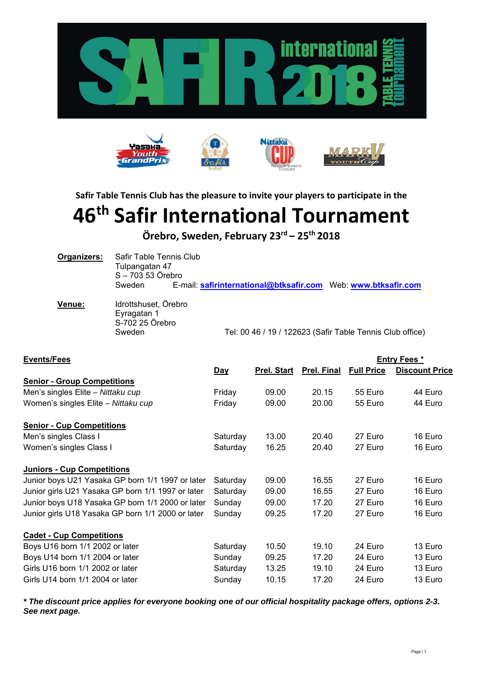



**Safir Table Tennis Club has the pleasure to invite your players to participate in the** 

# **46th Safir International Tournament**

**Örebro, Sweden, February 23rd – 25th 2018**

| Organizers: | Safir Table Tennis Club |  |  |  |  |  |
|-------------|-------------------------|--|--|--|--|--|
|             | Tulpangatan 47          |  |  |  |  |  |
|             | S - 703 53 Örebro       |  |  |  |  |  |
|             | Sweden                  |  |  |  |  |  |

| Venue: | Idrottshuset, Örebro |                                                           |
|--------|----------------------|-----------------------------------------------------------|
|        | Evragatan 1          |                                                           |
|        | S-702 25 Örebro      |                                                           |
|        | Sweden               | Tel: 00 46 / 19 / 122623 (Safir Table Tennis Club office) |
|        |                      |                                                           |

| <b>Events/Fees</b>                                |            |                    |                    | <b>Entry Fees *</b> |                       |
|---------------------------------------------------|------------|--------------------|--------------------|---------------------|-----------------------|
|                                                   | <u>Day</u> | <b>Prel. Start</b> | <b>Prel. Final</b> | <b>Full Price</b>   | <b>Discount Price</b> |
| <b>Senior - Group Competitions</b>                |            |                    |                    |                     |                       |
| Men's singles Elite - Nittaku cup                 | Friday     | 09.00              | 20.15              | 55 Euro             | 44 Euro               |
| Women's singles Elite - Nittaku cup               | Friday     | 09.00              | 20.00              | 55 Euro             | 44 Euro               |
| <b>Senior - Cup Competitions</b>                  |            |                    |                    |                     |                       |
| Men's singles Class I                             | Saturday   | 13.00              | 20.40              | 27 Euro             | 16 Euro               |
| Women's singles Class I                           | Saturday   | 16.25              | 20.40              | 27 Euro             | 16 Euro               |
| <b>Juniors - Cup Competitions</b>                 |            |                    |                    |                     |                       |
| Junior boys U21 Yasaka GP born 1/1 1997 or later  | Saturday   | 09.00              | 16.55              | 27 Euro             | 16 Euro               |
| Junior girls U21 Yasaka GP born 1/1 1997 or later | Saturday   | 09.00              | 16.55              | 27 Euro             | 16 Euro               |
| Junior boys U18 Yasaka GP born 1/1 2000 or later  | Sunday     | 09.00              | 17.20              | 27 Euro             | 16 Euro               |
| Junior girls U18 Yasaka GP born 1/1 2000 or later | Sunday     | 09.25              | 17.20              | 27 Euro             | 16 Euro               |
| <b>Cadet - Cup Competitions</b>                   |            |                    |                    |                     |                       |
| Boys U16 born 1/1 2002 or later                   | Saturday   | 10.50              | 19.10              | 24 Euro             | 13 Euro               |
| Boys U14 born 1/1 2004 or later                   | Sunday     | 09.25              | 17.20              | 24 Euro             | 13 Euro               |
| Girls U16 born 1/1 2002 or later                  | Saturday   | 13.25              | 19.10              | 24 Euro             | 13 Euro               |
| Girls U14 born 1/1 2004 or later                  | Sunday     | 10.15              | 17.20              | 24 Euro             | 13 Euro               |

*\* The discount price applies for everyone booking one of our official hospitality package offers, options 2-3. See next page.*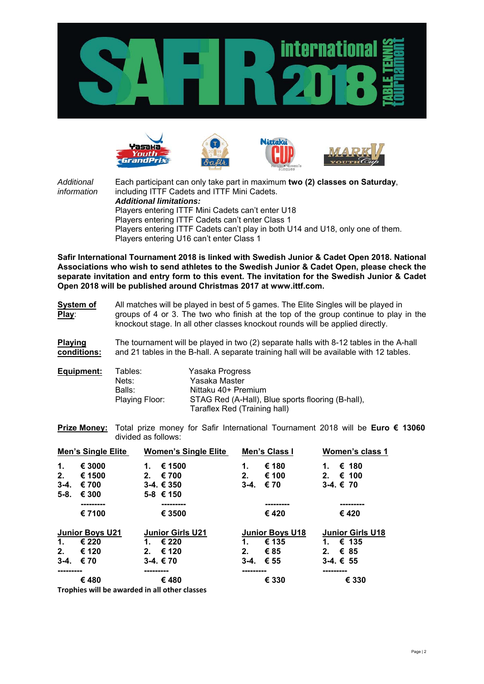









*Additional* Each participant can only take part in maximum **two (2) classes on Saturday**, *information* including ITTF Cadets and ITTF Mini Cadets. *Additional limitations:* Players entering ITTF Mini Cadets can't enter U18 Players entering ITTF Cadets can't enter Class 1 Players entering ITTF Cadets can't play in both U14 and U18, only one of them. Players entering U16 can't enter Class 1

**Safir International Tournament 2018 is linked with Swedish Junior & Cadet Open 2018. National Associations who wish to send athletes to the Swedish Junior & Cadet Open, please check the separate invitation and entry form to this event. The invitation for the Swedish Junior & Cadet Open 2018 will be published around Christmas 2017 at www.ittf.com.**

**System of** All matches will be played in best of 5 games. The Elite Singles will be played in **Play**: groups of 4 or 3. The two who finish at the top of the group continue to play in the knockout stage. In all other classes knockout rounds will be applied directly.

**Playing** The tournament will be played in two (2) separate halls with 8-12 tables in the A-hall **conditions:** and 21 tables in the B-hall. A separate training hall will be available with 12 tables.

| Equipment: | Tables:        | Yasaka Progress                                   |
|------------|----------------|---------------------------------------------------|
|            | Nets:          | Yasaka Master                                     |
|            | Balls:         | Nittaku 40+ Premium                               |
|            | Playing Floor: | STAG Red (A-Hall), Blue sports flooring (B-hall), |
|            |                | Taraflex Red (Training hall)                      |

**Prize Money:** Total prize money for Safir International Tournament 2018 will be **Euro € 13060** divided as follows:

|          | <b>Men's Single Elite</b>                     |                | <b>Women's Single Elite</b> |          | Men's Class I          |    | Women's class 1         |
|----------|-----------------------------------------------|----------------|-----------------------------|----------|------------------------|----|-------------------------|
| 1.       | € 3000                                        | 1.             | € 1500                      | 1.       | € 180                  | 1. | € 180                   |
| 2.       | € 1500                                        | 2 <sub>1</sub> | € 700                       | 2.       | € 100                  | 2. | € 100                   |
| $3 - 4.$ | € 700                                         |                | $3-4.€350$                  | $3 - 4.$ | € 70                   |    | $3-4.€70$               |
| $5-8.$   | € 300                                         |                | $5-8$ € 150                 |          |                        |    |                         |
|          |                                               |                | -------                     |          |                        |    | --------                |
|          | € 7100                                        |                | € 3500                      |          | € 420                  |    | € 420                   |
|          | <b>Junior Boys U21</b>                        |                | <b>Junior Girls U21</b>     |          | <b>Junior Boys U18</b> |    | <b>Junior Girls U18</b> |
| 1.       | € 220                                         | 1.             | € 220                       | 1.       | € 135                  | 1. | € 135                   |
| 2.       | € 120                                         | 2.             | € 120                       | 2.       | €85                    | 2. | € 85                    |
| $3-4.$   | € 70                                          |                | $3-4.€70$                   | $3 - 4.$ | € 55                   |    | $3-4.€55$               |
|          |                                               |                |                             | -------- |                        |    |                         |
|          | €480                                          |                | €480                        |          | € 330                  |    | € 330                   |
|          | Traphies will be awarded in all other classes |                |                             |          |                        |    |                         |

**Trophies will be awarded in all other classes**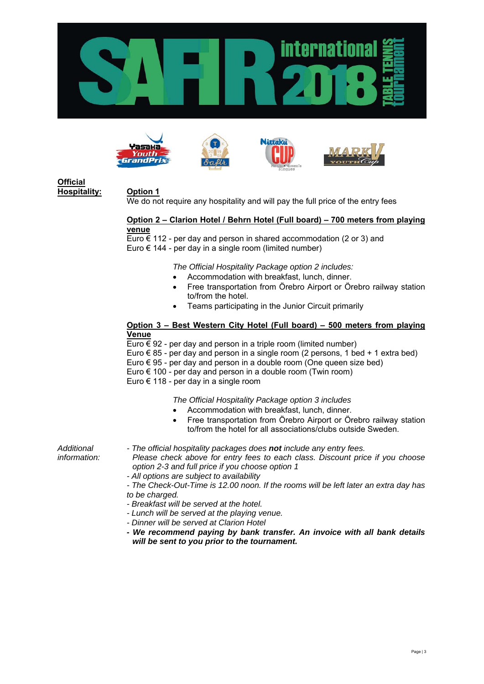









# **Official Hospitality: Option 1**

We do not require any hospitality and will pay the full price of the entry fees

#### **Option 2 – Clarion Hotel / Behrn Hotel (Full board) – 700 meters from playing venue**

Euro  $\epsilon$  112 - per day and person in shared accommodation (2 or 3) and Euro  $\epsilon$  144 - per day in a single room (limited number)

*The Official Hospitality Package option 2 includes:* 

- Accommodation with breakfast, lunch, dinner.
- Free transportation from Örebro Airport or Örebro railway station to/from the hotel.
- Teams participating in the Junior Circuit primarily

### **Option 3 – Best Western City Hotel (Full board) – 500 meters from playing Venue**

Euro  $\epsilon$  92 - per day and person in a triple room (limited number)

- Euro € 85 per day and person in a single room (2 persons, 1 bed + 1 extra bed)
- Euro  $\epsilon$  95 per day and person in a double room (One queen size bed)
- Euro  $\epsilon$  100 per day and person in a double room (Twin room)

Euro € 118 - per day in a single room

*The Official Hospitality Package option 3 includes*

- Accommodation with breakfast, lunch, dinner.
- Free transportation from Örebro Airport or Örebro railway station to/from the hotel for all associations/clubs outside Sweden.

*Additional - The official hospitality packages does not include any entry fees.* 

*information: Please check above for entry fees to each class. Discount price if you choose option 2-3 and full price if you choose option 1* 

*- All options are subject to availability* 

*- The Check-Out-Time is 12.00 noon. If the rooms will be left later an extra day has to be charged.* 

- *Breakfast will be served at the hotel.*
- *Lunch will be served at the playing venue.*
- *Dinner will be served at Clarion Hotel*
- *We recommend paying by bank transfer. An invoice with all bank details will be sent to you prior to the tournament.*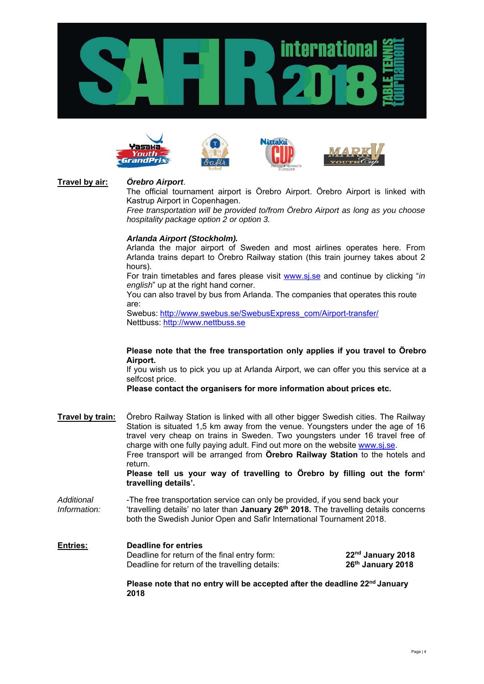









# **Travel by air:** *Örebro Airport*.

The official tournament airport is Örebro Airport. Örebro Airport is linked with Kastrup Airport in Copenhagen.

*Free transportation will be provided to/from Örebro Airport as long as you choose hospitality package option 2 or option 3.* 

# *Arlanda Airport (Stockholm).*

 Arlanda the major airport of Sweden and most airlines operates here. From Arlanda trains depart to Örebro Railway station (this train journey takes about 2 hours).

 For train timetables and fares please visit www.sj.se and continue by clicking "*in english*" up at the right hand corner.

 You can also travel by bus from Arlanda. The companies that operates this route are:

 Swebus: http://www.swebus.se/SwebusExpress\_com/Airport-transfer/ Nettbuss: http://www.nettbuss.se

#### **Please note that the free transportation only applies if you travel to Örebro Airport.**

 If you wish us to pick you up at Arlanda Airport, we can offer you this service at a selfcost price.

 **Please contact the organisers for more information about prices etc.**

**Travel by train:** Örebro Railway Station is linked with all other bigger Swedish cities. The Railway Station is situated 1,5 km away from the venue. Youngsters under the age of 16 travel very cheap on trains in Sweden. Two youngsters under 16 travel free of charge with one fully paying adult. Find out more on the website www.sj.se. Free transport will be arranged from **Örebro Railway Station** to the hotels and return.

**Please tell us your way of travelling to Örebro by filling out the form' travelling details'.**

- *Additional* -The free transportation service can only be provided, if you send back your *Information:* 'travelling details' no later than **January 26th 2018.** The travelling details concerns both the Swedish Junior Open and Safir International Tournament 2018.
- **Entries: Deadline for entries**  Deadline for return of the final entry form: **22<sup>nd</sup> January 2018** Deadline for return of the travelling details: **26<sup>th</sup> January 2018**

**Please note that no entry will be accepted after the deadline 22nd January 2018**